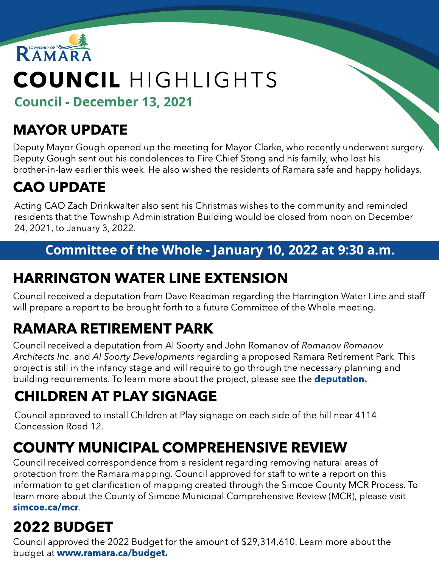

# COUNCIL HIGHLIGHTS

Council - Decem ber 13, 2021

# MAYOR UPDATE

Deputy Mayor Gough opened up the meeting for Mayor Clarke, who recently underwent surgery. Deputy Gough sent out his condolences to Fire Chief Stong and his family, who lost his brother-in-law earlier this week. He also wished the residents of Ramara safe and happy holidays.

# CAO UPDATE

Acting CAO Zach Drinkwalter also sent his Christmas wishes to the community and reminded residents that the Township Administration Building would be closed from noon on December 24, 2021, to January 3, 2022.

### Committee of the Whole - January 10, 2022 at 9:30 a.m.

# HARRINGTON WATER LINE EXTENSION

Council received a deputation from Dave Readman regarding the Harrington Water Line and staff will prepare a report to be brought forth to a future Committee of the Whole meeting.

# RAMARA RETIREMENT PARK

Council received a deputation from Al Soorty and John Romanov of **Romanov Romanov** Architects Inc. and Al Soorty Developments regarding a proposed Ramara Retirement Park. This project is still in the infancy stage and will require to go through the necessary planning and building requirements. To learn more about the project, please see the **[deputation.](https://ramara.civicweb.net/document/57008/RAMARA%20RETIREMENT%20PARK%20-%20Executive%20Summary%20_%20Deman.pdf?handle=87064AE962324C7AA5504D00A4D86623)** 

# CHILDREN AT PLAY SIGNAGE

Council approved to install Children at Play signage on each side of the hill near 4114 Concession Road 12.

# COUNTY MUNICIPAL COMPREHENSIVE REVIEW

Council received correspondence from a resident regarding removing natural areas of protection from the Ramara mapping. Council approved for staff to write a report on this information to get clarification of mapping created through the Simcoe County MCR Process. To learn more about the County of Simcoe Municipal Comprehensive Review (MCR), please visit [simcoe.ca/mcr](http://www.simcoe.ca/mcr).

# 2022 BUDGET

Council approved the 2022 Budget for the amount of \$29,314,610. Learn more about the budget at ww[w.ramara.ca/budget.](http://ramara.ca/budget)